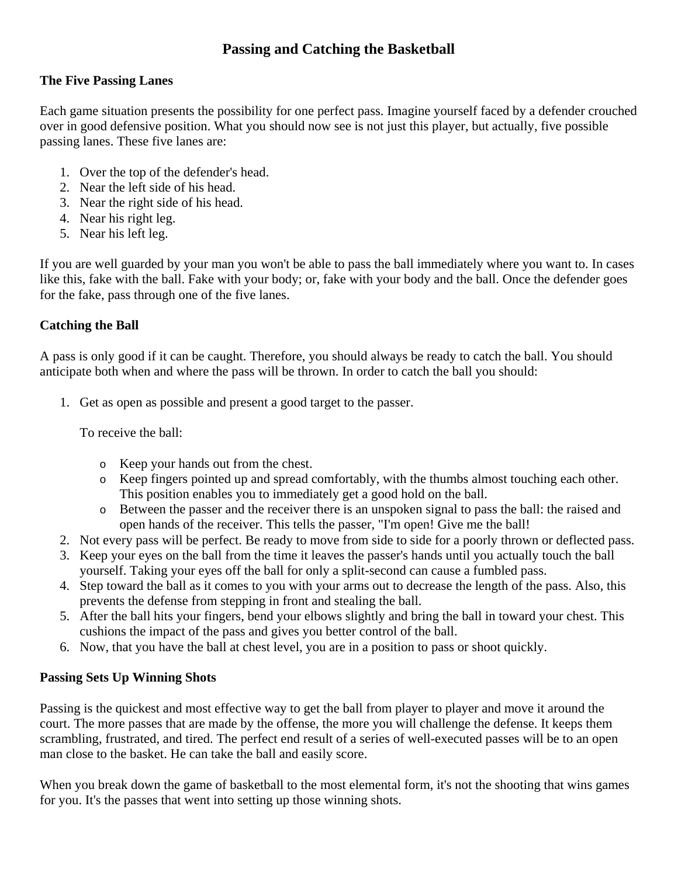# **Passing and Catching the Basketball**

#### **The Five Passing Lanes**

Each game situation presents the possibility for one perfect pass. Imagine yourself faced by a defender crouched over in good defensive position. What you should now see is not just this player, but actually, five possible passing lanes. These five lanes are:

- 1. Over the top of the defender's head.
- 2. Near the left side of his head.
- 3. Near the right side of his head.
- 4. Near his right leg.
- 5. Near his left leg.

If you are well guarded by your man you won't be able to pass the ball immediately where you want to. In cases like this, fake with the ball. Fake with your body; or, fake with your body and the ball. Once the defender goes for the fake, pass through one of the five lanes.

## **Catching the Ball**

A pass is only good if it can be caught. Therefore, you should always be ready to catch the ball. You should anticipate both when and where the pass will be thrown. In order to catch the ball you should:

1. Get as open as possible and present a good target to the passer.

To receive the ball:

- o Keep your hands out from the chest.
- o Keep fingers pointed up and spread comfortably, with the thumbs almost touching each other. This position enables you to immediately get a good hold on the ball.
- o Between the passer and the receiver there is an unspoken signal to pass the ball: the raised and open hands of the receiver. This tells the passer, "I'm open! Give me the ball!
- 2. Not every pass will be perfect. Be ready to move from side to side for a poorly thrown or deflected pass.
- 3. Keep your eyes on the ball from the time it leaves the passer's hands until you actually touch the ball yourself. Taking your eyes off the ball for only a split-second can cause a fumbled pass.
- 4. Step toward the ball as it comes to you with your arms out to decrease the length of the pass. Also, this prevents the defense from stepping in front and stealing the ball.
- 5. After the ball hits your fingers, bend your elbows slightly and bring the ball in toward your chest. This cushions the impact of the pass and gives you better control of the ball.
- 6. Now, that you have the ball at chest level, you are in a position to pass or shoot quickly.

## **Passing Sets Up Winning Shots**

Passing is the quickest and most effective way to get the ball from player to player and move it around the court. The more passes that are made by the offense, the more you will challenge the defense. It keeps them scrambling, frustrated, and tired. The perfect end result of a series of well-executed passes will be to an open man close to the basket. He can take the ball and easily score.

When you break down the game of basketball to the most elemental form, it's not the shooting that wins games for you. It's the passes that went into setting up those winning shots.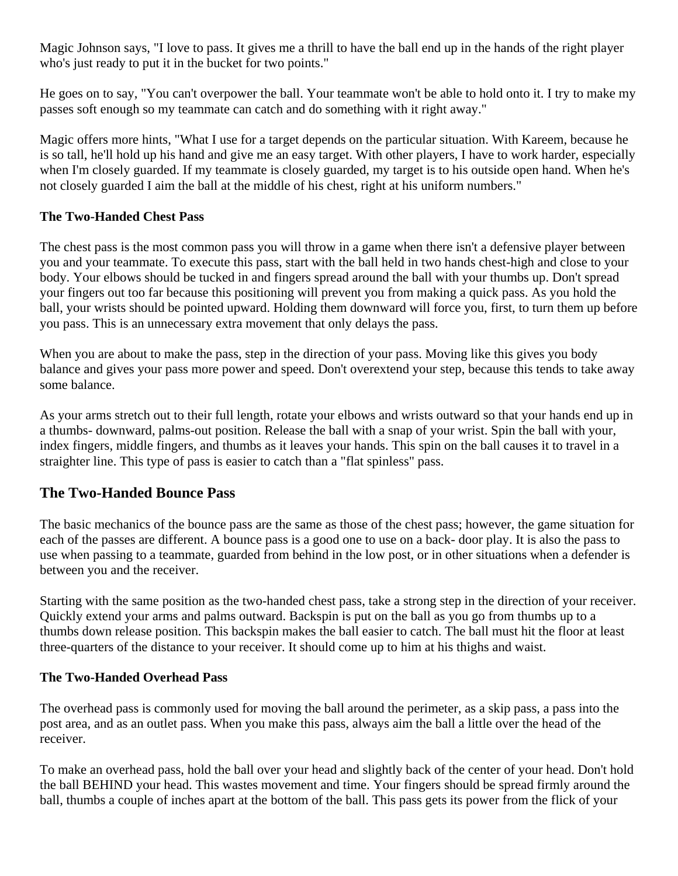Magic Johnson says, "I love to pass. It gives me a thrill to have the ball end up in the hands of the right player who's just ready to put it in the bucket for two points."

He goes on to say, "You can't overpower the ball. Your teammate won't be able to hold onto it. I try to make my passes soft enough so my teammate can catch and do something with it right away."

Magic offers more hints, "What I use for a target depends on the particular situation. With Kareem, because he is so tall, he'll hold up his hand and give me an easy target. With other players, I have to work harder, especially when I'm closely guarded. If my teammate is closely guarded, my target is to his outside open hand. When he's not closely guarded I aim the ball at the middle of his chest, right at his uniform numbers."

#### **The Two-Handed Chest Pass**

The chest pass is the most common pass you will throw in a game when there isn't a defensive player between you and your teammate. To execute this pass, start with the ball held in two hands chest-high and close to your body. Your elbows should be tucked in and fingers spread around the ball with your thumbs up. Don't spread your fingers out too far because this positioning will prevent you from making a quick pass. As you hold the ball, your wrists should be pointed upward. Holding them downward will force you, first, to turn them up before you pass. This is an unnecessary extra movement that only delays the pass.

When you are about to make the pass, step in the direction of your pass. Moving like this gives you body balance and gives your pass more power and speed. Don't overextend your step, because this tends to take away some balance.

As your arms stretch out to their full length, rotate your elbows and wrists outward so that your hands end up in a thumbs- downward, palms-out position. Release the ball with a snap of your wrist. Spin the ball with your, index fingers, middle fingers, and thumbs as it leaves your hands. This spin on the ball causes it to travel in a straighter line. This type of pass is easier to catch than a "flat spinless" pass.

## **The Two-Handed Bounce Pass**

The basic mechanics of the bounce pass are the same as those of the chest pass; however, the game situation for each of the passes are different. A bounce pass is a good one to use on a back- door play. It is also the pass to use when passing to a teammate, guarded from behind in the low post, or in other situations when a defender is between you and the receiver.

Starting with the same position as the two-handed chest pass, take a strong step in the direction of your receiver. Quickly extend your arms and palms outward. Backspin is put on the ball as you go from thumbs up to a thumbs down release position. This backspin makes the ball easier to catch. The ball must hit the floor at least three-quarters of the distance to your receiver. It should come up to him at his thighs and waist.

#### **The Two-Handed Overhead Pass**

The overhead pass is commonly used for moving the ball around the perimeter, as a skip pass, a pass into the post area, and as an outlet pass. When you make this pass, always aim the ball a little over the head of the receiver.

To make an overhead pass, hold the ball over your head and slightly back of the center of your head. Don't hold the ball BEHIND your head. This wastes movement and time. Your fingers should be spread firmly around the ball, thumbs a couple of inches apart at the bottom of the ball. This pass gets its power from the flick of your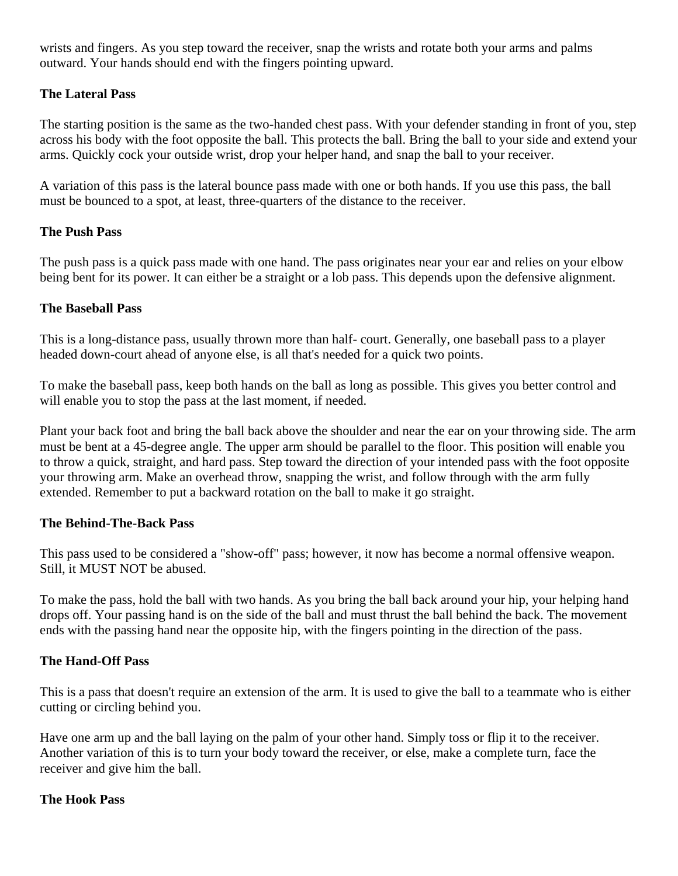wrists and fingers. As you step toward the receiver, snap the wrists and rotate both your arms and palms outward. Your hands should end with the fingers pointing upward.

### **The Lateral Pass**

The starting position is the same as the two-handed chest pass. With your defender standing in front of you, step across his body with the foot opposite the ball. This protects the ball. Bring the ball to your side and extend your arms. Quickly cock your outside wrist, drop your helper hand, and snap the ball to your receiver.

A variation of this pass is the lateral bounce pass made with one or both hands. If you use this pass, the ball must be bounced to a spot, at least, three-quarters of the distance to the receiver.

### **The Push Pass**

The push pass is a quick pass made with one hand. The pass originates near your ear and relies on your elbow being bent for its power. It can either be a straight or a lob pass. This depends upon the defensive alignment.

### **The Baseball Pass**

This is a long-distance pass, usually thrown more than half- court. Generally, one baseball pass to a player headed down-court ahead of anyone else, is all that's needed for a quick two points.

To make the baseball pass, keep both hands on the ball as long as possible. This gives you better control and will enable you to stop the pass at the last moment, if needed.

Plant your back foot and bring the ball back above the shoulder and near the ear on your throwing side. The arm must be bent at a 45-degree angle. The upper arm should be parallel to the floor. This position will enable you to throw a quick, straight, and hard pass. Step toward the direction of your intended pass with the foot opposite your throwing arm. Make an overhead throw, snapping the wrist, and follow through with the arm fully extended. Remember to put a backward rotation on the ball to make it go straight.

#### **The Behind-The-Back Pass**

This pass used to be considered a "show-off" pass; however, it now has become a normal offensive weapon. Still, it MUST NOT be abused.

To make the pass, hold the ball with two hands. As you bring the ball back around your hip, your helping hand drops off. Your passing hand is on the side of the ball and must thrust the ball behind the back. The movement ends with the passing hand near the opposite hip, with the fingers pointing in the direction of the pass.

## **The Hand-Off Pass**

This is a pass that doesn't require an extension of the arm. It is used to give the ball to a teammate who is either cutting or circling behind you.

Have one arm up and the ball laying on the palm of your other hand. Simply toss or flip it to the receiver. Another variation of this is to turn your body toward the receiver, or else, make a complete turn, face the receiver and give him the ball.

#### **The Hook Pass**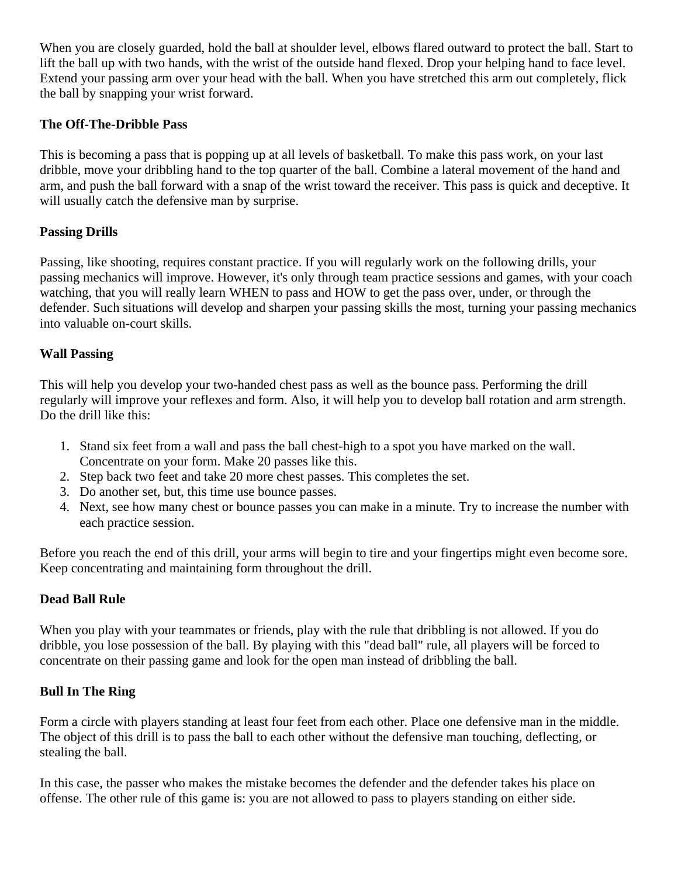When you are closely guarded, hold the ball at shoulder level, elbows flared outward to protect the ball. Start to lift the ball up with two hands, with the wrist of the outside hand flexed. Drop your helping hand to face level. Extend your passing arm over your head with the ball. When you have stretched this arm out completely, flick the ball by snapping your wrist forward.

#### **The Off-The-Dribble Pass**

This is becoming a pass that is popping up at all levels of basketball. To make this pass work, on your last dribble, move your dribbling hand to the top quarter of the ball. Combine a lateral movement of the hand and arm, and push the ball forward with a snap of the wrist toward the receiver. This pass is quick and deceptive. It will usually catch the defensive man by surprise.

### **Passing Drills**

Passing, like shooting, requires constant practice. If you will regularly work on the following drills, your passing mechanics will improve. However, it's only through team practice sessions and games, with your coach watching, that you will really learn WHEN to pass and HOW to get the pass over, under, or through the defender. Such situations will develop and sharpen your passing skills the most, turning your passing mechanics into valuable on-court skills.

### **Wall Passing**

This will help you develop your two-handed chest pass as well as the bounce pass. Performing the drill regularly will improve your reflexes and form. Also, it will help you to develop ball rotation and arm strength. Do the drill like this:

- 1. Stand six feet from a wall and pass the ball chest-high to a spot you have marked on the wall. Concentrate on your form. Make 20 passes like this.
- 2. Step back two feet and take 20 more chest passes. This completes the set.
- 3. Do another set, but, this time use bounce passes.
- 4. Next, see how many chest or bounce passes you can make in a minute. Try to increase the number with each practice session.

Before you reach the end of this drill, your arms will begin to tire and your fingertips might even become sore. Keep concentrating and maintaining form throughout the drill.

#### **Dead Ball Rule**

When you play with your teammates or friends, play with the rule that dribbling is not allowed. If you do dribble, you lose possession of the ball. By playing with this "dead ball" rule, all players will be forced to concentrate on their passing game and look for the open man instead of dribbling the ball.

## **Bull In The Ring**

Form a circle with players standing at least four feet from each other. Place one defensive man in the middle. The object of this drill is to pass the ball to each other without the defensive man touching, deflecting, or stealing the ball.

In this case, the passer who makes the mistake becomes the defender and the defender takes his place on offense. The other rule of this game is: you are not allowed to pass to players standing on either side.